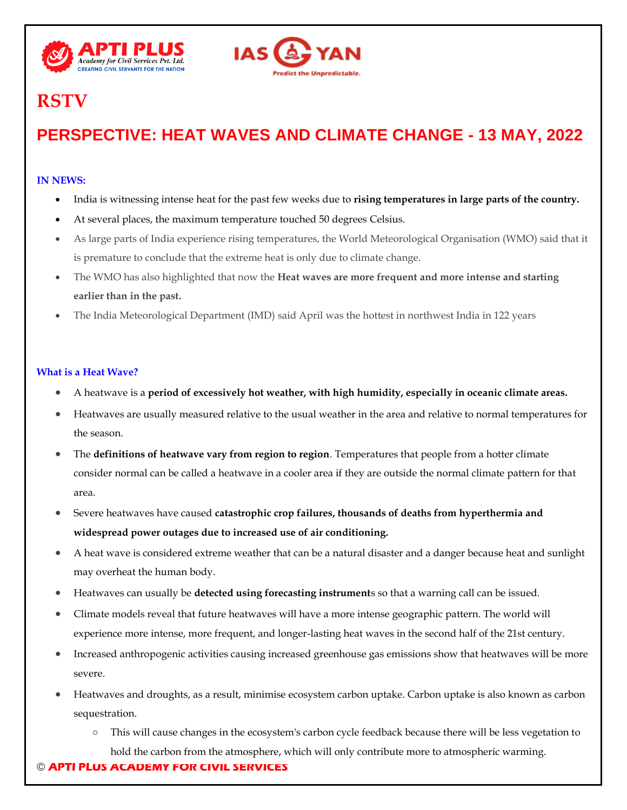



# **RSTV**

# **PERSPECTIVE: HEAT WAVES AND CLIMATE CHANGE - 13 MAY, 2022**

## **IN NEWS:**

- India is witnessing intense heat for the past few weeks due to **rising temperatures in large parts of the country.**
- At several places, the maximum temperature touched 50 degrees Celsius.
- As large parts of India experience rising temperatures, the World Meteorological Organisation (WMO) said that it is premature to conclude that the extreme heat is only due to climate change.
- The WMO has also highlighted that now the **Heat waves are more frequent and more intense and starting earlier than in the past.**
- The India Meteorological Department (IMD) said April was the hottest in northwest India in 122 years

### **What is a Heat Wave?**

- A heatwave is a **period of excessively hot weather, with high humidity, especially in oceanic climate areas.**
- Heatwaves are usually measured relative to the usual weather in the area and relative to normal temperatures for the season.
- The **definitions of heatwave vary from region to region**. Temperatures that people from a hotter climate consider normal can be called a heatwave in a cooler area if they are outside the normal climate pattern for that area.
- Severe heatwaves have caused **catastrophic crop failures, thousands of deaths from hyperthermia and widespread power outages due to increased use of air conditioning.**
- A heat wave is considered extreme weather that can be a natural disaster and a danger because heat and sunlight may overheat the human body.
- Heatwaves can usually be **detected using forecasting instrument**s so that a warning call can be issued.
- Climate models reveal that future heatwaves will have a more intense geographic pattern. The world will experience more intense, more frequent, and longer-lasting heat waves in the second half of the 21st century.
- Increased anthropogenic activities causing increased greenhouse gas emissions show that heatwaves will be more severe.
- Heatwaves and droughts, as a result, minimise ecosystem carbon uptake. Carbon uptake is also known as carbon sequestration.
	- This will cause changes in the ecosystem's carbon cycle feedback because there will be less vegetation to hold the carbon from the atmosphere, which will only contribute more to atmospheric warming.

## © **APTI PLUS ACADEMY FOR CIVIL SERVICES**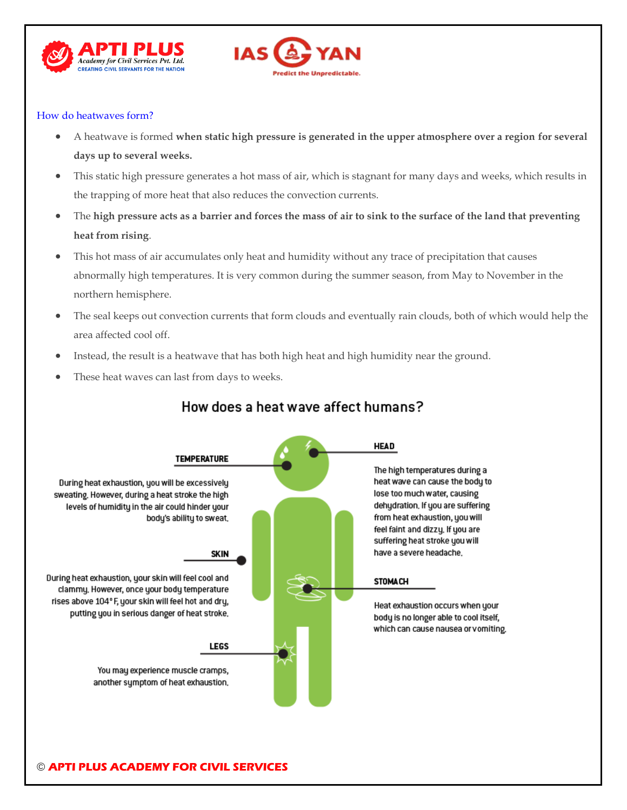



#### How do heatwaves form?

- A heatwave is formed **when static high pressure is generated in the upper atmosphere over a region for several days up to several weeks.**
- This static high pressure generates a hot mass of air, which is stagnant for many days and weeks, which results in the trapping of more heat that also reduces the convection currents.
- The **high pressure acts as a barrier and forces the mass of air to sink to the surface of the land that preventing heat from rising**.
- This hot mass of air accumulates only heat and humidity without any trace of precipitation that causes abnormally high temperatures. It is very common during the summer season, from May to November in the northern hemisphere.
- The seal keeps out convection currents that form clouds and eventually rain clouds, both of which would help the area affected cool off.
- Instead, the result is a heatwave that has both high heat and high humidity near the ground.
- These heat waves can last from days to weeks.



# How does a heat wave affect humans?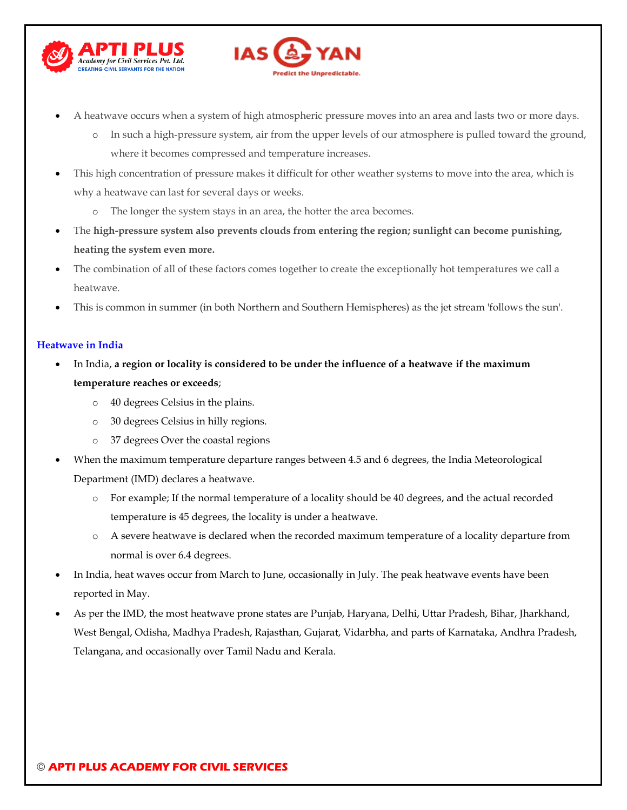



- A heatwave occurs when a system of high atmospheric pressure moves into an area and lasts two or more days.
	- o In such a high-pressure system, air from the upper levels of our atmosphere is pulled toward the ground, where it becomes compressed and temperature increases.
- This high concentration of pressure makes it difficult for other weather systems to move into the area, which is why a heatwave can last for several days or weeks.
	- o The longer the system stays in an area, the hotter the area becomes.
- The **high-pressure system also prevents clouds from entering the region; sunlight can become punishing, heating the system even more.**
- The combination of all of these factors comes together to create the exceptionally hot temperatures we call a heatwave.
- This is common in summer (in both Northern and Southern Hemispheres) as the jet stream 'follows the sun'.

#### **Heatwave in India**

- In India, **a region or locality is considered to be under the influence of a heatwave if the maximum temperature reaches or exceeds**;
	- o 40 degrees Celsius in the plains.
	- o 30 degrees Celsius in hilly regions.
	- o 37 degrees Over the coastal regions
- When the maximum temperature departure ranges between 4.5 and 6 degrees, the India Meteorological Department (IMD) declares a heatwave.
	- o For example; If the normal temperature of a locality should be 40 degrees, and the actual recorded temperature is 45 degrees, the locality is under a heatwave.
	- o A severe heatwave is declared when the recorded maximum temperature of a locality departure from normal is over 6.4 degrees.
- In India, heat waves occur from March to June, occasionally in July. The peak heatwave events have been reported in May.
- As per the IMD, the most heatwave prone states are Punjab, Haryana, Delhi, Uttar Pradesh, Bihar, Jharkhand, West Bengal, Odisha, Madhya Pradesh, Rajasthan, Gujarat, Vidarbha, and parts of Karnataka, Andhra Pradesh, Telangana, and occasionally over Tamil Nadu and Kerala.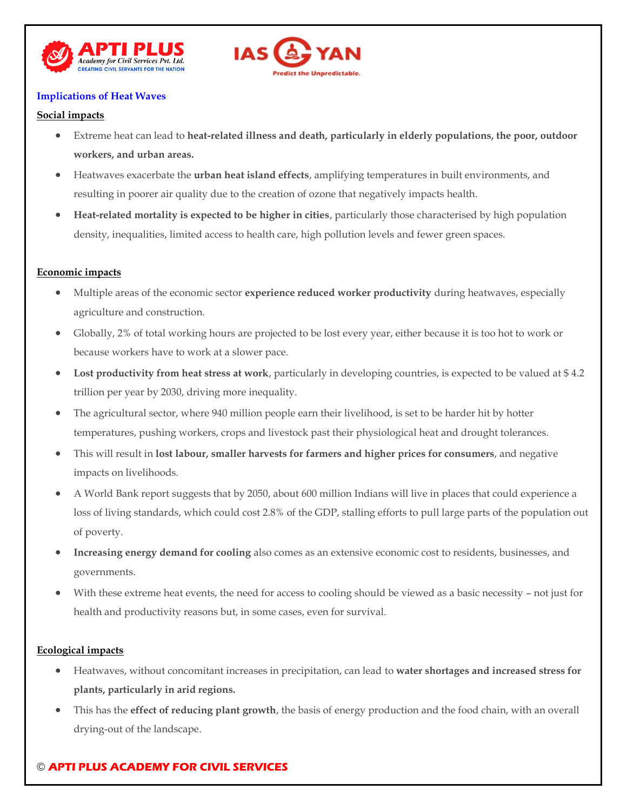



#### **Implications of Heat Waves**

#### **Social impacts**

- Extreme heat can lead to **heat-related illness and death, particularly in elderly populations, the poor, outdoor workers, and urban areas.**
- Heatwaves exacerbate the **urban heat island effects**, amplifying temperatures in built environments, and resulting in poorer air quality due to the creation of ozone that negatively impacts health.
- **Heat-related mortality is expected to be higher in cities**, particularly those characterised by high population density, inequalities, limited access to health care, high pollution levels and fewer green spaces.

#### **Economic impacts**

- Multiple areas of the economic sector **experience reduced worker productivity** during heatwaves, especially agriculture and construction.
- Globally, 2% of total working hours are projected to be lost every year, either because it is too hot to work or because workers have to work at a slower pace.
- **Lost productivity from heat stress at work**, particularly in developing countries, is expected to be valued at \$ 4.2 trillion per year by 2030, driving more inequality.
- The agricultural sector, where 940 million people earn their livelihood, is set to be harder hit by hotter temperatures, pushing workers, crops and livestock past their physiological heat and drought tolerances.
- This will result in **lost labour, smaller harvests for farmers and higher prices for consumers**, and negative impacts on livelihoods.
- A World Bank report suggests that by 2050, about 600 million Indians will live in places that could experience a loss of living standards, which could cost 2.8% of the GDP, stalling efforts to pull large parts of the population out of poverty.
- **Increasing energy demand for cooling** also comes as an extensive economic cost to residents, businesses, and governments.
- With these extreme heat events, the need for access to cooling should be viewed as a basic necessity not just for health and productivity reasons but, in some cases, even for survival.

#### **Ecological impacts**

- Heatwaves, without concomitant increases in precipitation, can lead to **water shortages and increased stress for plants, particularly in arid regions.**
- This has the **effect of reducing plant growth**, the basis of energy production and the food chain, with an overall drying-out of the landscape.

# © **APTI PLUS ACADEMY FOR CIVIL SERVICES**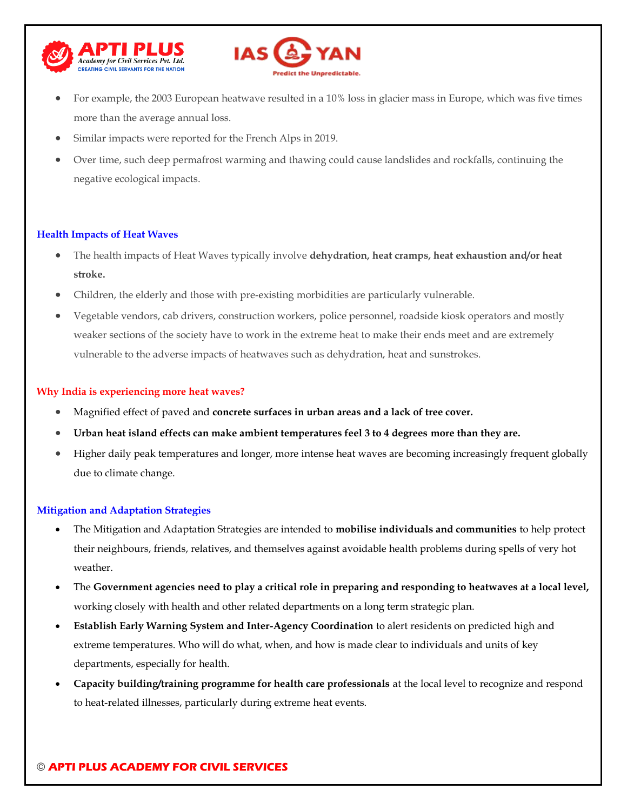



- For example, the 2003 European heatwave resulted in a 10% loss in glacier mass in Europe, which was five times more than the average annual loss.
- Similar impacts were reported for the French Alps in 2019.
- Over time, such deep permafrost warming and thawing could cause landslides and rockfalls, continuing the negative ecological impacts.

#### **Health Impacts of Heat Waves**

- The health impacts of Heat Waves typically involve **dehydration, heat cramps, heat exhaustion and/or heat stroke.**
- Children, the elderly and those with pre-existing morbidities are particularly vulnerable.
- Vegetable vendors, cab drivers, construction workers, police personnel, roadside kiosk operators and mostly weaker sections of the society have to work in the extreme heat to make their ends meet and are extremely vulnerable to the adverse impacts of heatwaves such as dehydration, heat and sunstrokes.

#### **Why India is experiencing more heat waves?**

- Magnified effect of paved and **concrete surfaces in urban areas and a lack of tree cover.**
- **Urban heat island effects can make ambient temperatures feel 3 to 4 degrees more than they are.**
- Higher daily peak temperatures and longer, more intense heat waves are becoming increasingly frequent globally due to climate change.

#### **Mitigation and Adaptation Strategies**

- The Mitigation and Adaptation Strategies are intended to **mobilise individuals and communities** to help protect their neighbours, friends, relatives, and themselves against avoidable health problems during spells of very hot weather.
- The **Government agencies need to play a critical role in preparing and responding to heatwaves at a local level,** working closely with health and other related departments on a long term strategic plan.
- **Establish Early Warning System and Inter-Agency Coordination** to alert residents on predicted high and extreme temperatures. Who will do what, when, and how is made clear to individuals and units of key departments, especially for health.
- **Capacity building/training programme for health care professionals** at the local level to recognize and respond to heat-related illnesses, particularly during extreme heat events.